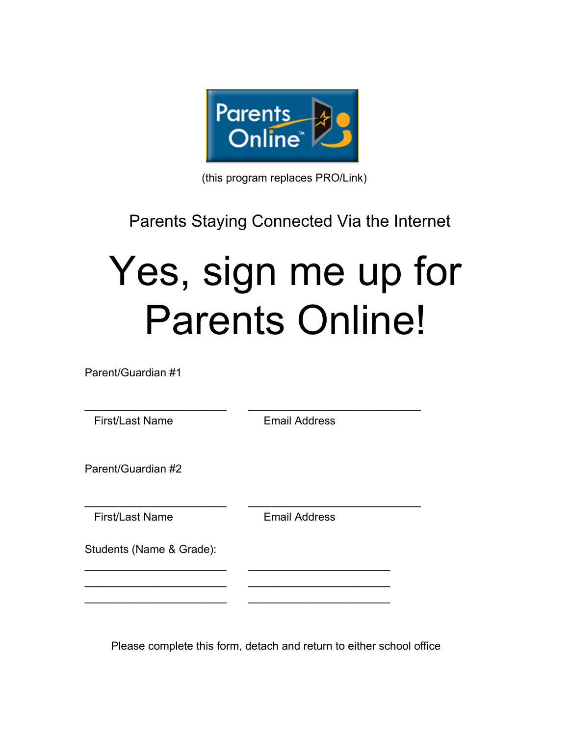

(this program replaces PRO/Link)

## Parents Staying Connected Via the Internet

## Yes, sign me up for Parents Online!

Parent/Guardian #1

\_\_\_\_\_\_\_\_\_\_\_\_\_\_\_\_\_\_\_\_\_\_\_ \_\_\_\_\_\_\_\_\_\_\_\_\_\_\_\_\_\_\_\_\_\_\_\_\_\_\_\_ First/Last Name Email Address Parent/Guardian #2 \_\_\_\_\_\_\_\_\_\_\_\_\_\_\_\_\_\_\_\_\_\_\_ \_\_\_\_\_\_\_\_\_\_\_\_\_\_\_\_\_\_\_\_\_\_\_\_\_\_\_\_ First/Last Name Email Address Students (Name & Grade): \_\_\_\_\_\_\_\_\_\_\_\_\_\_\_\_\_\_\_\_\_\_\_ \_\_\_\_\_\_\_\_\_\_\_\_\_\_\_\_\_\_\_\_\_\_\_ \_\_\_\_\_\_\_\_\_\_\_\_\_\_\_\_\_\_\_\_\_\_\_ \_\_\_\_\_\_\_\_\_\_\_\_\_\_\_\_\_\_\_\_\_\_\_ \_\_\_\_\_\_\_\_\_\_\_\_\_\_\_\_\_\_\_\_\_\_\_ \_\_\_\_\_\_\_\_\_\_\_\_\_\_\_\_\_\_\_\_\_\_\_

Please complete this form, detach and return to either school office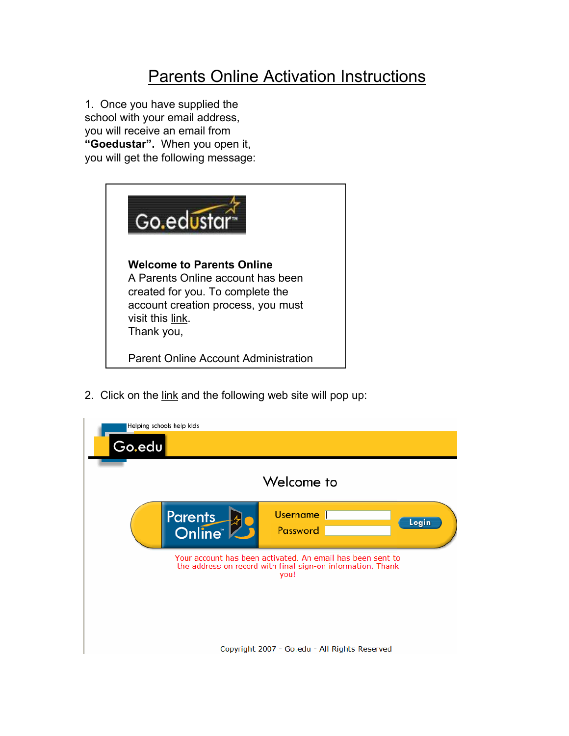## Parents Online Activation Instructions

1. Once you have supplied the school with your email address, you will receive an email from **"Goedustar".** When you open it, you will get the following message:



2. Click on the link and the following web site will pop up:

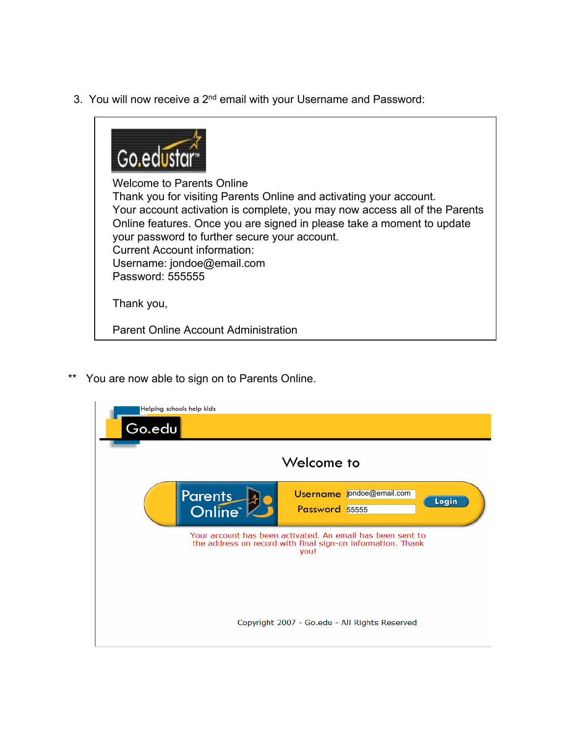3. You will now receive a 2<sup>nd</sup> email with your Username and Password:



Welcome to Parents Online Thank you for visiting Parents Online and activating your account. Your account activation is complete, you may now access all of the Parents Online features. Once you are signed in please take a moment to update your password to further secure your account. Current Account information: Username: jondoe@email.com Password: 555555

Thank you,

Parent Online Account Administration

\*\* You are now able to sign on to Parents Online.

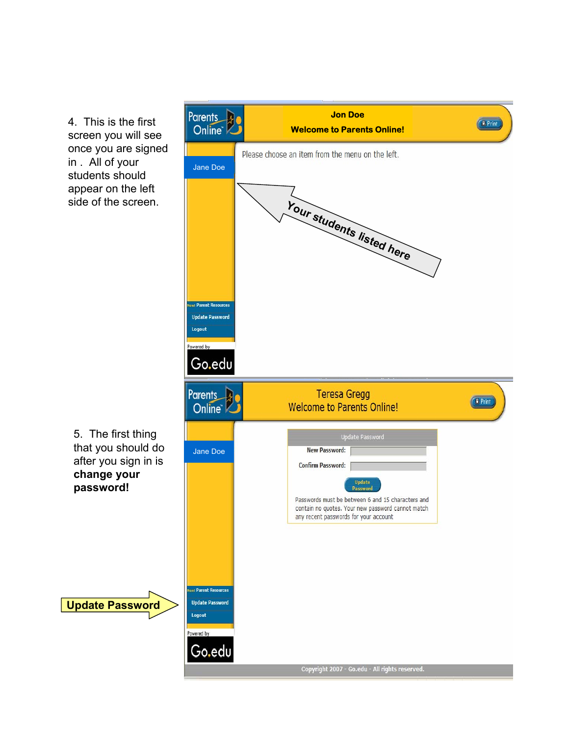4. This is the first screen you will see once you are signed in . All of your students should appear on the left side of the screen.

**change your password!**